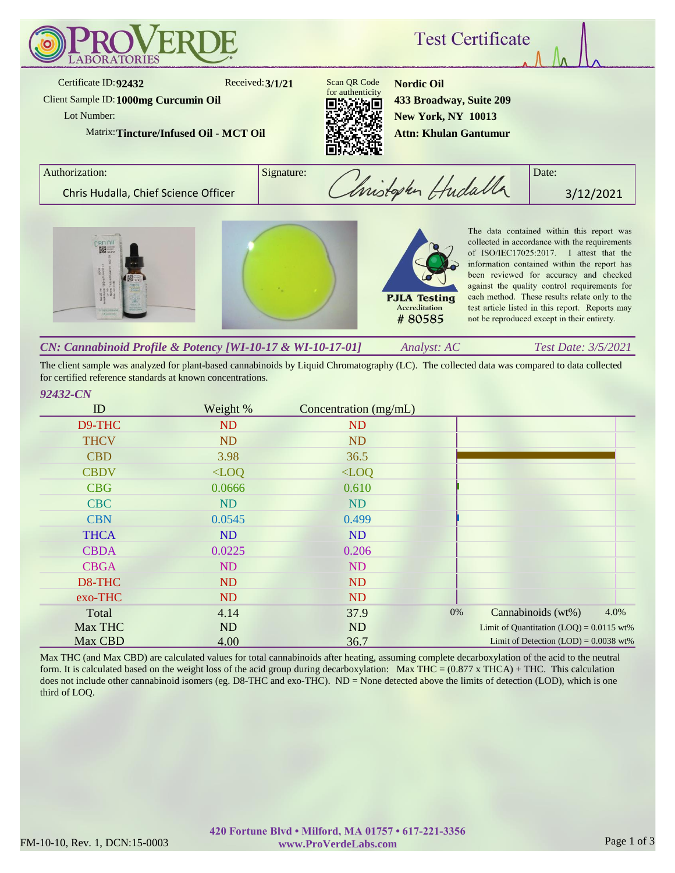

The client sample was analyzed for plant-based cannabinoids by Liquid Chromatography (LC). The collected data was compared to data collected for certified reference standards at known concentrations.

## *92432-CN*

| ID          | Weight %  | Concentration (mg/mL) |                                            |
|-------------|-----------|-----------------------|--------------------------------------------|
| D9-THC      | ND        | <b>ND</b>             |                                            |
| <b>THCV</b> | <b>ND</b> | <b>ND</b>             |                                            |
| <b>CBD</b>  | 3.98      | 36.5                  |                                            |
| <b>CBDV</b> | $<$ LOQ   | $<$ LOQ               |                                            |
| <b>CBG</b>  | 0.0666    | 0.610                 |                                            |
| <b>CBC</b>  | <b>ND</b> | <b>ND</b>             |                                            |
| <b>CBN</b>  | 0.0545    | 0.499                 |                                            |
| <b>THCA</b> | <b>ND</b> | ND                    |                                            |
| <b>CBDA</b> | 0.0225    | 0.206                 |                                            |
| <b>CBGA</b> | ND        | ND                    |                                            |
| D8-THC      | ND        | <b>ND</b>             |                                            |
| exo-THC     | <b>ND</b> | ND                    |                                            |
| Total       | 4.14      | 37.9                  | 4.0%<br>0%<br>Cannabinoids (wt%)           |
| Max THC     | <b>ND</b> | ND                    | Limit of Quantitation $(LOQ) = 0.0115$ wt% |
| Max CBD     | 4.00      | 36.7                  | Limit of Detection $(LOD) = 0.0038$ wt%    |

Max THC (and Max CBD) are calculated values for total cannabinoids after heating, assuming complete decarboxylation of the acid to the neutral form. It is calculated based on the weight loss of the acid group during decarboxylation: Max THC =  $(0.877 \times THCA) + THC$ . This calculation does not include other cannabinoid isomers (eg. D8-THC and exo-THC). ND = None detected above the limits of detection (LOD), which is one third of LOQ.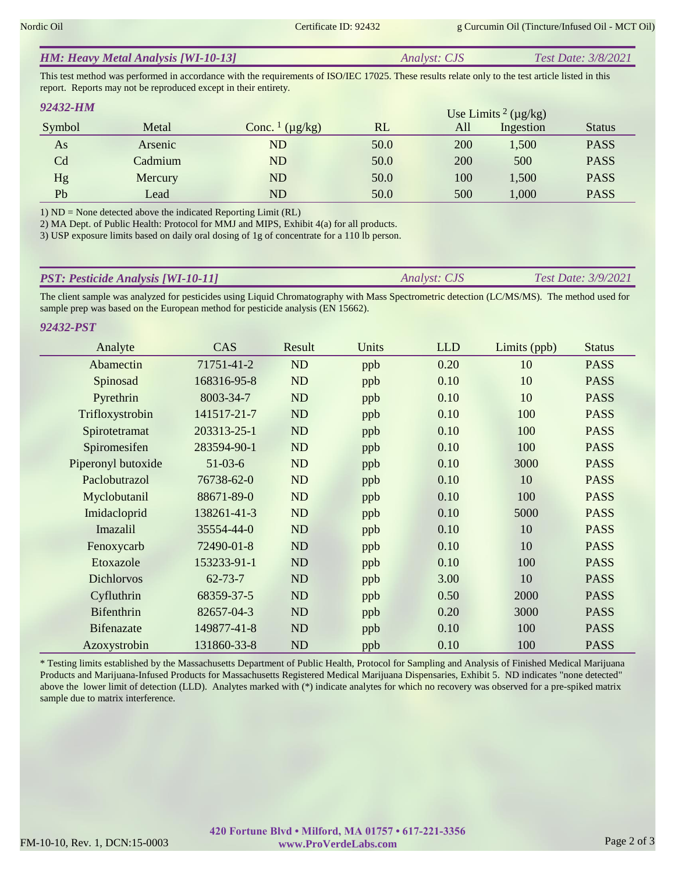| <b>HM: Heavy Metal Analysis [WI-10-13]</b> | <i>Analyst: CJS</i> | <b>Test Date: 3/8/2021</b> |
|--------------------------------------------|---------------------|----------------------------|
|                                            |                     |                            |

This test method was performed in accordance with the requirements of ISO/IEC 17025. These results relate only to the test article listed in this report. Reports may not be reproduced except in their entirety.

| 92432-HM       |         |                                     |      |     | Use Limits <sup>2</sup> ( $\mu$ g/kg) |               |
|----------------|---------|-------------------------------------|------|-----|---------------------------------------|---------------|
| Symbol         | Metal   | Conc. $\frac{1}{\mu}$ ( $\mu$ g/kg) | RL   | All | Ingestion                             | <b>Status</b> |
| As             | Arsenic | ${\rm ND}$                          | 50.0 | 200 | 1,500                                 | <b>PASS</b>   |
| C <sub>d</sub> | Cadmium | ND                                  | 50.0 | 200 | 500                                   | <b>PASS</b>   |
| Hg             | Mercury | ND                                  | 50.0 | 100 | 1,500                                 | <b>PASS</b>   |
| Pb             | Lead    | ND                                  | 50.0 | 500 | 1,000                                 | <b>PASS</b>   |

1) ND = None detected above the indicated Reporting Limit (RL)

2) MA Dept. of Public Health: Protocol for MMJ and MIPS, Exhibit 4(a) for all products.

3) USP exposure limits based on daily oral dosing of 1g of concentrate for a 110 lb person.

| <b>PST: Pesticide Analysis [WI-10-11]</b> | <i>Analyst: CJS</i> | <b>Test Date: 3/9/2021</b> |
|-------------------------------------------|---------------------|----------------------------|
|                                           |                     |                            |

The client sample was analyzed for pesticides using Liquid Chromatography with Mass Spectrometric detection (LC/MS/MS). The method used for sample prep was based on the European method for pesticide analysis (EN 15662).

| Analyte            | CAS           | Result    | Units | <b>LLD</b> | Limits (ppb) | <b>Status</b> |
|--------------------|---------------|-----------|-------|------------|--------------|---------------|
| Abamectin          | 71751-41-2    | <b>ND</b> | ppb   | 0.20       | 10           | <b>PASS</b>   |
| Spinosad           | 168316-95-8   | ND        | ppb   | 0.10       | 10           | <b>PASS</b>   |
| Pyrethrin          | 8003-34-7     | <b>ND</b> | ppb   | 0.10       | 10           | <b>PASS</b>   |
| Trifloxystrobin    | 141517-21-7   | ND        | ppb   | 0.10       | 100          | <b>PASS</b>   |
| Spirotetramat      | 203313-25-1   | ND        | ppb   | 0.10       | 100          | <b>PASS</b>   |
| Spiromesifen       | 283594-90-1   | ND        | ppb   | 0.10       | 100          | <b>PASS</b>   |
| Piperonyl butoxide | $51-03-6$     | <b>ND</b> | ppb   | 0.10       | 3000         | <b>PASS</b>   |
| Paclobutrazol      | 76738-62-0    | ND        | ppb   | 0.10       | 10           | <b>PASS</b>   |
| Myclobutanil       | 88671-89-0    | ND        | ppb   | 0.10       | 100          | <b>PASS</b>   |
| Imidacloprid       | 138261-41-3   | ND        | ppb   | 0.10       | 5000         | <b>PASS</b>   |
| Imazalil           | 35554-44-0    | ND        | ppb   | 0.10       | 10           | <b>PASS</b>   |
| Fenoxycarb         | 72490-01-8    | <b>ND</b> | ppb   | 0.10       | 10           | <b>PASS</b>   |
| Etoxazole          | 153233-91-1   | ND        | ppb   | 0.10       | 100          | <b>PASS</b>   |
| <b>Dichlorvos</b>  | $62 - 73 - 7$ | <b>ND</b> | ppb   | 3.00       | 10           | <b>PASS</b>   |
| Cyfluthrin         | 68359-37-5    | ND        | ppb   | 0.50       | 2000         | <b>PASS</b>   |
| <b>Bifenthrin</b>  | 82657-04-3    | ND        | ppb   | 0.20       | 3000         | <b>PASS</b>   |
| Bifenazate         | 149877-41-8   | ND        | ppb   | 0.10       | 100          | <b>PASS</b>   |
| Azoxystrobin       | 131860-33-8   | ND        | ppb   | 0.10       | 100          | <b>PASS</b>   |

\* Testing limits established by the Massachusetts Department of Public Health, Protocol for Sampling and Analysis of Finished Medical Marijuana Products and Marijuana-Infused Products for Massachusetts Registered Medical Marijuana Dispensaries, Exhibit 5. ND indicates "none detected" above the lower limit of detection (LLD). Analytes marked with (\*) indicate analytes for which no recovery was observed for a pre-spiked matrix sample due to matrix interference.